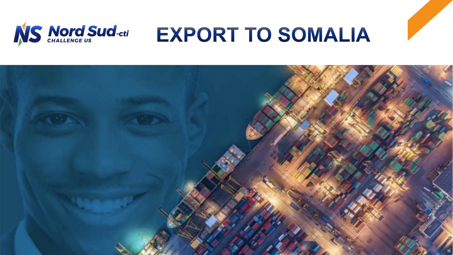

# **EXPORT TO SOMALIA**

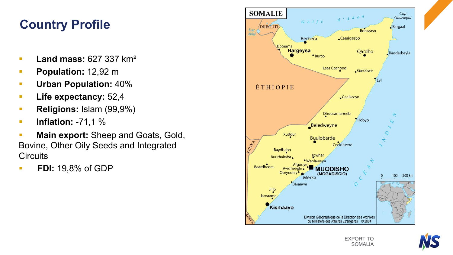## **Country Profile**

- **Land mass:** 627 337 km<sup>2</sup>
- **Population:** 12,92 m
- § **Urban Population:** 40%
- § **Life expectancy:** 52,4
- **Religions:** Islam (99,9%)
- **•** Inflation: -71,1 %
- **Main export:** Sheep and Goats, Gold, Bovine, Other Oily Seeds and Integrated **Circuits**
- § **FDI:** 19,8% of GDP



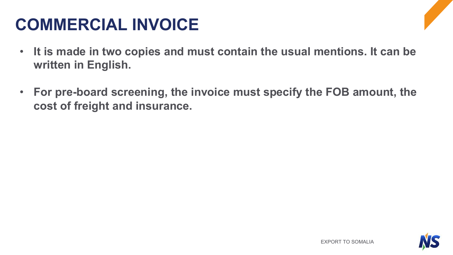## **COMMERCIAL INVOICE**

- **It is made in two copies and must contain the usual mentions. It can be written in English.**
- **For pre-board screening, the invoice must specify the FOB amount, the cost of freight and insurance.**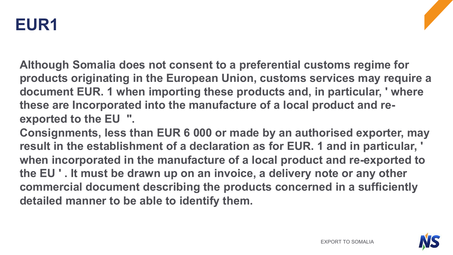

**Although Somalia does not consent to a preferential customs regime for products originating in the European Union, customs services may require a document EUR. 1 when importing these products and, in particular, ' where these are Incorporated into the manufacture of a local product and reexported to the EU ".**

**Consignments, less than EUR 6 000 or made by an authorised exporter, may result in the establishment of a declaration as for EUR. 1 and in particular, ' when incorporated in the manufacture of a local product and re-exported to the EU ' . It must be drawn up on an invoice, a delivery note or any other commercial document describing the products concerned in a sufficiently detailed manner to be able to identify them.**

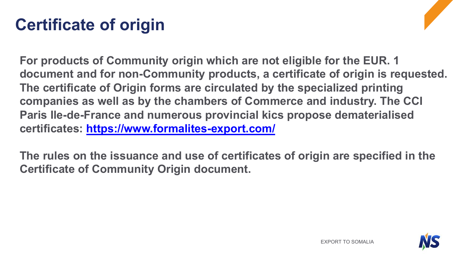## **Certificate of origin**

**For products of Community origin which are not eligible for the EUR. 1 document and for non-Community products, a certificate of origin is requested. The certificate of Origin forms are circulated by the specialized printing companies as well as by the chambers of Commerce and industry. The CCI Paris Ile-de-France and numerous provincial kics propose dematerialised certificates:<https://www.formalites-export.com/>**

**The rules on the issuance and use of certificates of origin are specified in the Certificate of Community Origin document.**

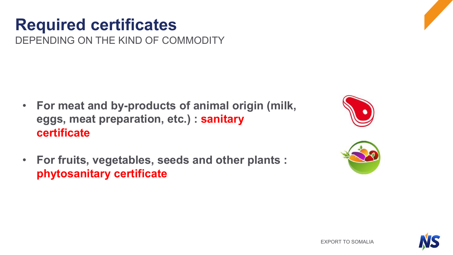DEPENDING ON THE KIND OF COMMODITY

- **For meat and by-products of animal origin (milk, eggs, meat preparation, etc.) : sanitary certificate**
- **For fruits, vegetables, seeds and other plants : phytosanitary certificate**





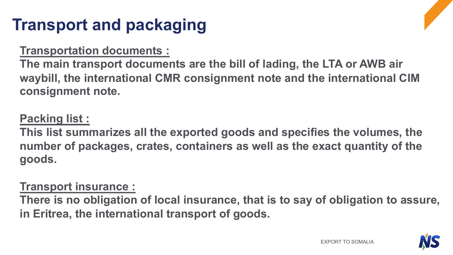## **Transport and packaging**

#### **Transportation documents :**

**The main transport documents are the bill of lading, the LTA or AWB air waybill, the international CMR consignment note and the international CIM consignment note.**

### **Packing list :**

**This list summarizes all the exported goods and specifies the volumes, the number of packages, crates, containers as well as the exact quantity of the goods.** 

### **Transport insurance :**

**There is no obligation of local insurance, that is to say of obligation to assure, in Eritrea, the international transport of goods.**